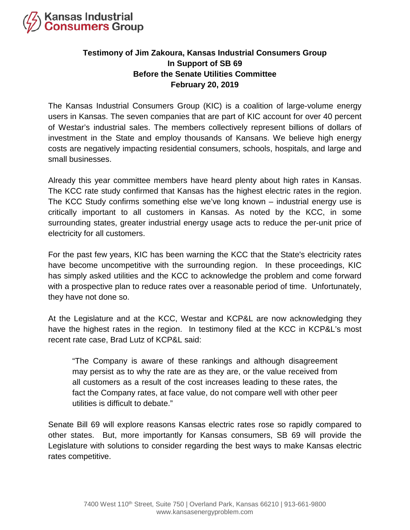

## **Testimony of Jim Zakoura, Kansas Industrial Consumers Group In Support of SB 69 Before the Senate Utilities Committee February 20, 2019**

The Kansas Industrial Consumers Group (KIC) is a coalition of large-volume energy users in Kansas. The seven companies that are part of KIC account for over 40 percent of Westar's industrial sales. The members collectively represent billions of dollars of investment in the State and employ thousands of Kansans. We believe high energy costs are negatively impacting residential consumers, schools, hospitals, and large and small businesses.

Already this year committee members have heard plenty about high rates in Kansas. The KCC rate study confirmed that Kansas has the highest electric rates in the region. The KCC Study confirms something else we've long known – industrial energy use is critically important to all customers in Kansas. As noted by the KCC, in some surrounding states, greater industrial energy usage acts to reduce the per-unit price of electricity for all customers.

For the past few years, KIC has been warning the KCC that the State's electricity rates have become uncompetitive with the surrounding region. In these proceedings, KIC has simply asked utilities and the KCC to acknowledge the problem and come forward with a prospective plan to reduce rates over a reasonable period of time. Unfortunately, they have not done so.

At the Legislature and at the KCC, Westar and KCP&L are now acknowledging they have the highest rates in the region. In testimony filed at the KCC in KCP&L's most recent rate case, Brad Lutz of KCP&L said:

"The Company is aware of these rankings and although disagreement may persist as to why the rate are as they are, or the value received from all customers as a result of the cost increases leading to these rates, the fact the Company rates, at face value, do not compare well with other peer utilities is difficult to debate."

Senate Bill 69 will explore reasons Kansas electric rates rose so rapidly compared to other states. But, more importantly for Kansas consumers, SB 69 will provide the Legislature with solutions to consider regarding the best ways to make Kansas electric rates competitive.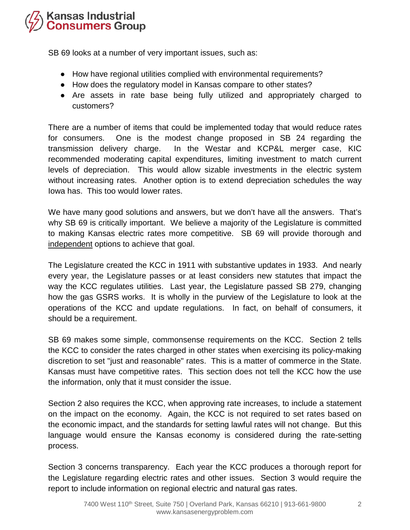## **Kansas Industrial<br>Consumers Group**

SB 69 looks at a number of very important issues, such as:

- How have regional utilities complied with environmental requirements?
- How does the regulatory model in Kansas compare to other states?
- Are assets in rate base being fully utilized and appropriately charged to customers?

There are a number of items that could be implemented today that would reduce rates for consumers. One is the modest change proposed in SB 24 regarding the transmission delivery charge. In the Westar and KCP&L merger case, KIC recommended moderating capital expenditures, limiting investment to match current levels of depreciation. This would allow sizable investments in the electric system without increasing rates. Another option is to extend depreciation schedules the way Iowa has. This too would lower rates.

We have many good solutions and answers, but we don't have all the answers. That's why SB 69 is critically important. We believe a majority of the Legislature is committed to making Kansas electric rates more competitive. SB 69 will provide thorough and independent options to achieve that goal.

The Legislature created the KCC in 1911 with substantive updates in 1933. And nearly every year, the Legislature passes or at least considers new statutes that impact the way the KCC regulates utilities. Last year, the Legislature passed SB 279, changing how the gas GSRS works. It is wholly in the purview of the Legislature to look at the operations of the KCC and update regulations. In fact, on behalf of consumers, it should be a requirement.

SB 69 makes some simple, commonsense requirements on the KCC. Section 2 tells the KCC to consider the rates charged in other states when exercising its policy-making discretion to set "just and reasonable" rates. This is a matter of commerce in the State. Kansas must have competitive rates. This section does not tell the KCC how the use the information, only that it must consider the issue.

Section 2 also requires the KCC, when approving rate increases, to include a statement on the impact on the economy. Again, the KCC is not required to set rates based on the economic impact, and the standards for setting lawful rates will not change. But this language would ensure the Kansas economy is considered during the rate-setting process.

Section 3 concerns transparency. Each year the KCC produces a thorough report for the Legislature regarding electric rates and other issues. Section 3 would require the report to include information on regional electric and natural gas rates.